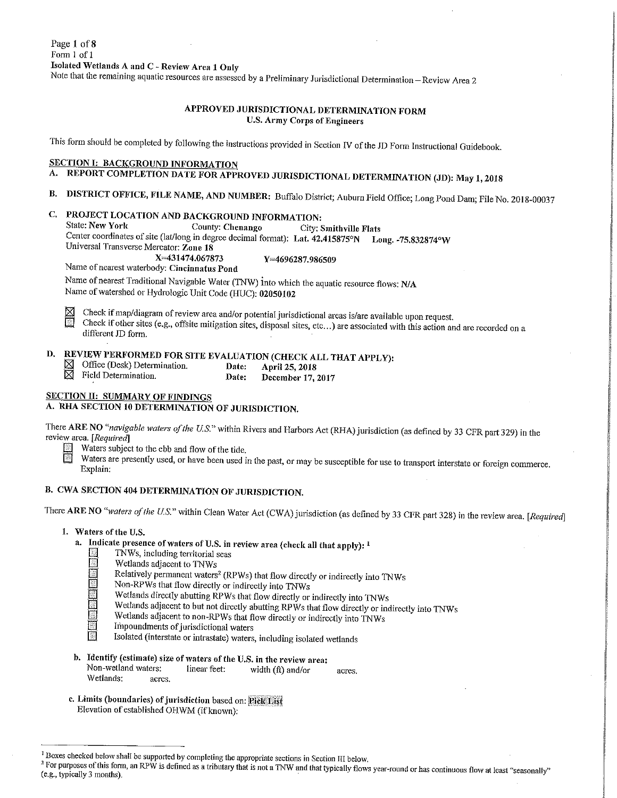# APPROVED JURISDICTIONAL DETERMINATION FORM **U.S. Army Corps of Engineers**

This form should be completed by following the instructions provided in Section IV of the JD Form Instructional Guidebook.

# **SECTION I: BACKGROUND INFORMATION**

# A. REPORT COMPLETION DATE FOR APPROVED JURISDICTIONAL DETERMINATION (JD): May 1, 2018

B. DISTRICT OFFICE, FILE NAME, AND NUMBER: Buffalo District; Auburn Field Office; Long Pond Dam; File No. 2018-00037

# C. PROJECT LOCATION AND BACKGROUND INFORMATION:

**State: New York** County: Chenango City: Smithville Flats

Center coordinates of site (lat/long in degree decimal format): Lat. 42.415875°N Long. -75.832874°W Universal Transverse Mercator: Zone 18

X=431474.067873

Y=4696287.986509

Name of nearest waterbody: Cincinnatus Pond

Name of nearest Traditional Navigable Water (TNW) into which the aquatic resource flows: N/A Name of watershed or Hydrologic Unit Code (HUC): 02050102

Check if map/diagram of review area and/or potential jurisdictional areas is/are available upon request. ⋈

Check if other sites (e.g., offsite mitigation sites, disposal sites, etc...) are associated with this action and are recorded on a 國 different JD form.

### REVIEW PERFORMED FOR SITE EVALUATION (CHECK ALL THAT APPLY): D.

- $\boxtimes$  Office (Desk) Determination.  $\boxtimes$  Field Determination.
- Date: April 25, 2018 Date: December 17, 2017

# **SECTION II: SUMMARY OF FINDINGS**

# A. RHA SECTION 10 DETERMINATION OF JURISDICTION.

There ARE NO "navigable waters of the U.S." within Rivers and Harbors Act (RHA) jurisdiction (as defined by 33 CFR part 329) in the review area. [Required]

- Waters subject to the ebb and flow of the tide.
- Waters are presently used, or have been used in the past, or may be susceptible for use to transport interstate or foreign commerce. Explain:

# B. CWA SECTION 404 DETERMINATION OF JURISDICTION.

There ARE NO "waters of the U.S." within Clean Water Act (CWA) jurisdiction (as defined by 33 CFR part 328) in the review area. [Required]

- 1. Waters of the U.S.
	- a. Indicate presence of waters of U.S. in review area (check all that apply): <sup>1</sup>
		- TNWs, including territorial seas
		- Wetlands adjacent to TNWs
		- Relatively permanent waters<sup>2</sup> (RPWs) that flow directly or indirectly into TNWs
		- Non-RPWs that flow directly or indirectly into TNWs
		- Wetlands directly abutting RPWs that flow directly or indirectly into TNWs
		- Wetlands adjacent to but not directly abutting RPWs that flow directly or indirectly into TNWs
		- Wetlands adjacent to non-RPWs that flow directly or indirectly into TNWs
		- Impoundments of jurisdictional waters
		- Isolated (interstate or intrastate) waters, including isolated wetlands
	- b. Identify (estimate) size of waters of the U.S. in the review area: Non-wetland waters: linear feet: width  $(ft)$  and/or acres. Wetlands: acres.
	- c. Limits (boundaries) of jurisdiction based on: Pick List Elevation of established OHWM (if known):

For purposes of this form, an RPW is defined as a tributary that is not a TNW and that typically flows year-round or has continuous flow at least "seasonally" (e.g., typically 3 months).

<sup>&</sup>lt;sup>1</sup> Boxes checked below shall be supported by completing the appropriate sections in Section III below.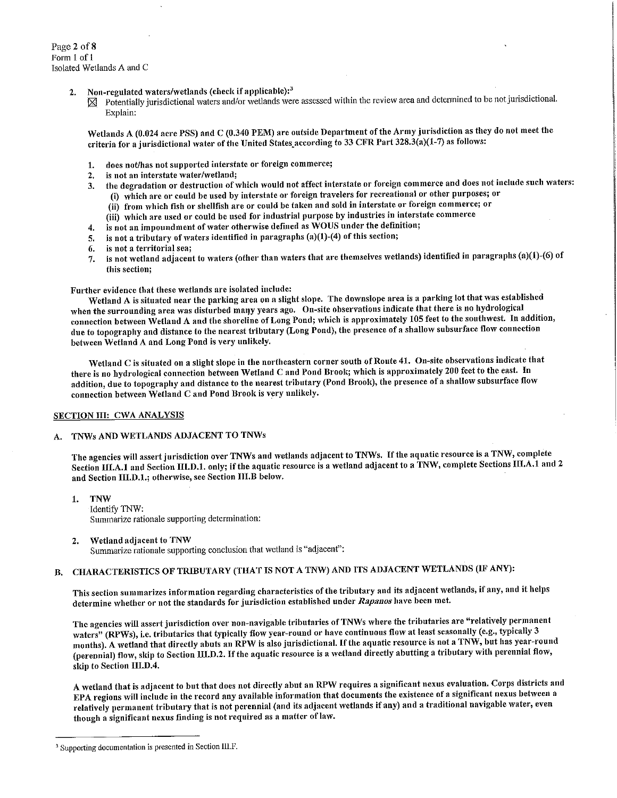Page 2 of 8 Form 1 of 1 Isolated Wetlands A and C

- Non-regulated waters/wetlands (check if applicable):<sup>3</sup>  $2.$ 
	- $\boxtimes$  Potentially jurisdictional waters and/or wetlands were assessed within the review area and determined to be not jurisdictional. Explain:

Wetlands A (0.024 acre PSS) and C (0.340 PEM) are outside Department of the Army jurisdiction as they do not meet the criteria for a jurisdictional water of the United States according to 33 CFR Part 328.3(a)(1-7) as follows:

- does not/has not supported interstate or foreign commerce;  $\mathbf{1}$ .
- is not an interstate water/wetland;  $2.$
- the degradation or destruction of which would not affect interstate or foreign commerce and does not include such waters: 3. (i) which are or could be used by interstate or foreign travelers for recreational or other purposes; or
	-
	- (ii) from which fish or shellfish are or could be taken and sold in interstate or foreign commerce; or (iii) which are used or could be used for industrial purpose by industries in interstate commerce
	- is not an impoundment of water otherwise defined as WOUS under the definition;
- 4. is not a tributary of waters identified in paragraphs (a)(1)-(4) of this section; 5.
- is not a territorial sea; 6.
- is not wetland adjacent to waters (other than waters that are themselves wetlands) identified in paragraphs (a)(1)-(6) of 7. this section;

Further evidence that these wetlands are isolated include:

Wetland A is situated near the parking area on a slight slope. The downslope area is a parking lot that was established when the surrounding area was disturbed many years ago. On-site observations indicate that there is no hydrological connection between Wetland A and the shoreline of Long Pond; which is approximately 105 feet to the southwest. In addition, due to topography and distance to the nearest tributary (Long Pond), the presence of a shallow subsurface flow connection between Wetland A and Long Pond is very unlikely.

Wetland C is situated on a slight slope in the northeastern corner south of Route 41. On-site observations indicate that there is no hydrological connection between Wetland C and Pond Brook; which is approximately 200 feet to the east. In addition, due to topography and distance to the nearest tributary (Pond Brook), the presence of a shallow subsurface flow connection between Wetland C and Pond Brook is very unlikely.

### SECTION III: CWA ANALYSIS

#### TNWs AND WETLANDS ADJACENT TO TNWs A.

The agencies will assert jurisdiction over TNWs and wetlands adjacent to TNWs. If the aquatic resource is a TNW, complete Section III.A.1 and Section III.D.1. only; if the aquatic resource is a wetland adjacent to a TNW, complete Sections III.A.1 and 2 and Section III.D.1.; otherwise, see Section III.B below.

- 1. **TNW** Identify TNW: Summarize rationale supporting determination:
- Wetland adjacent to TNW 2. Summarize rationale supporting conclusion that wetland is "adjacent":

### CHARACTERISTICS OF TRIBUTARY (THAT IS NOT A TNW) AND ITS ADJACENT WETLANDS (IF ANY): В.

This section summarizes information regarding characteristics of the tributary and its adjacent wetlands, if any, and it helps determine whether or not the standards for jurisdiction established under Rapanos have been met.

The agencies will assert jurisdiction over non-navigable tributaries of TNWs where the tributaries are "relatively permanent waters" (RPWs), i.e. tributaries that typically flow year-round or have continuous flow at least seasonally (e.g., typically 3 months). A wetland that directly abuts an RPW is also jurisdictional. If the aquatic resource is not a TNW, but has year-round (perennial) flow, skip to Section III.D.2. If the aquatic resource is a wetland directly abutting a tributary with perennial flow, skip to Section III.D.4.

A wetland that is adjacent to but that does not directly abut an RPW requires a significant nexus evaluation. Corps districts and EPA regions will include in the record any available information that documents the existence of a significant nexus between a relatively permanent tributary that is not perennial (and its adjacent wetlands if any) and a traditional navigable water, even though a significant nexus finding is not required as a matter of law.

<sup>&</sup>lt;sup>3</sup> Supporting documentation is presented in Section III.F.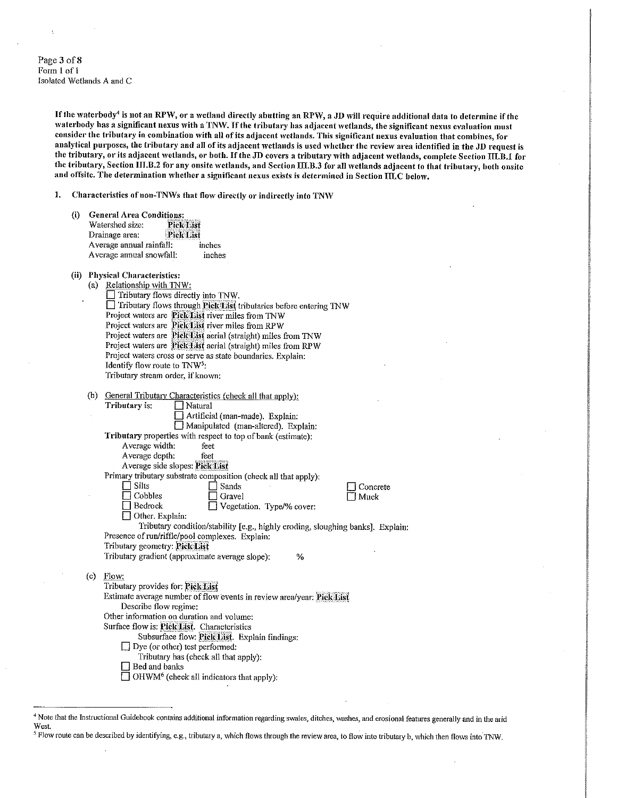Page 3 of 8 Form 1 of 1 Isolated Wetlands A and C

> If the waterbody<sup>4</sup> is not an RPW, or a wetland directly abutting an RPW, a JD will require additional data to determine if the waterbody has a significant nexus with a TNW. If the tributary has adjacent wetlands, the significant nexus evaluation must consider the tributary in combination with all of its adjacent wetlands. This significant nexus evaluation that combines, for analytical purposes, the tributary and all of its adjacent wetlands is used whether the review area identified in the JD request is the tributary, or its adjacent wetlands, or both. If the JD covers a tributary with adjacent wetlands, complete Section III.B.1 for the tributary, Section III.B.2 for any onsite wetlands, and Section III.B.3 for all wetlands adjacent to that tributary, both onsite and offsite. The determination whether a significant nexus exists is determined in Section III.C below.

Characteristics of non-TNWs that flow directly or indirectly into TNW  $1.$ 

| D) | <b>General Area Conditions:</b>    |                  |  |  |
|----|------------------------------------|------------------|--|--|
|    | Watershed size:                    | <b>Pick List</b> |  |  |
|    | <b>Pick List</b><br>Drainage area: |                  |  |  |
|    | Average annual rainfall:           | inches           |  |  |
|    | Average annual snowfall:           | inche.           |  |  |

- (ii) Physical Characteristics:
	- Relationship with TNW:  $(a)$  $\Box$  Tributary flows directly into TNW. □ Tributary flows through Pick List tributaries before entering TNW Project waters are Pick List river miles from TNW Project waters are Pick List river miles from RPW Project waters are Pick List aerial (straight) miles from TNW Project waters are Pick List aerial (straight) miles from RPW Project waters cross or serve as state boundaries. Explain: Identify flow route to TNW<sup>5</sup>: Tributary stream order, if known:
	- (b) General Tributary Characteristics (check all that apply): Tributary is:

 $\Box$  Natural Artificial (man-made). Explain:

Manipulated (man-altered). Explain: Tributary properties with respect to top of bank (estimate): Average width: feet

|                | $\sim$ |
|----------------|--------|
| Average depth: | feet   |

Average side slopes: Pick List

Primary tributary substrate composition (check all that apply);  $\prod_{n=1}^{\infty}$  Silts  $\Box$  Sands

 $\Box$  Gravel

 $\Box$  Bedrock

 $\Box$  Concrete  $\square$  Muck

 $\Box$  Other. Explain: Tributary condition/stability [e.g., highly eroding, sloughing banks]. Explain: Presence of run/riffle/pool complexes. Explain: Tributary geometry: Pick List Tributary gradient (approximate average slope): %

□ Vegetation. Type/% cover:

Flow:  $(c)$ Tributary provides for: Pick List

Estimate average number of flow events in review area/year: Pick List Describe flow regime: Other information on duration and volume:

Surface flow is: Pick List. Characteristics

Subsurface flow: Pick List. Explain findings:

- $\Box$  Dye (or other) test performed:
	- Tributary has (check all that apply):
- Bed and banks

 $\Box$  OHWM<sup>6</sup> (check all indicators that apply):

<sup>5</sup> Flow route can be described by identifying, e.g., tributary a, which flows through the review area, to flow into tributary b, which then flows into TNW.

<sup>&</sup>lt;sup>4</sup> Note that the Instructional Guidebook contains additional information regarding swales, ditches, washes, and erosional features generally and in the arid West.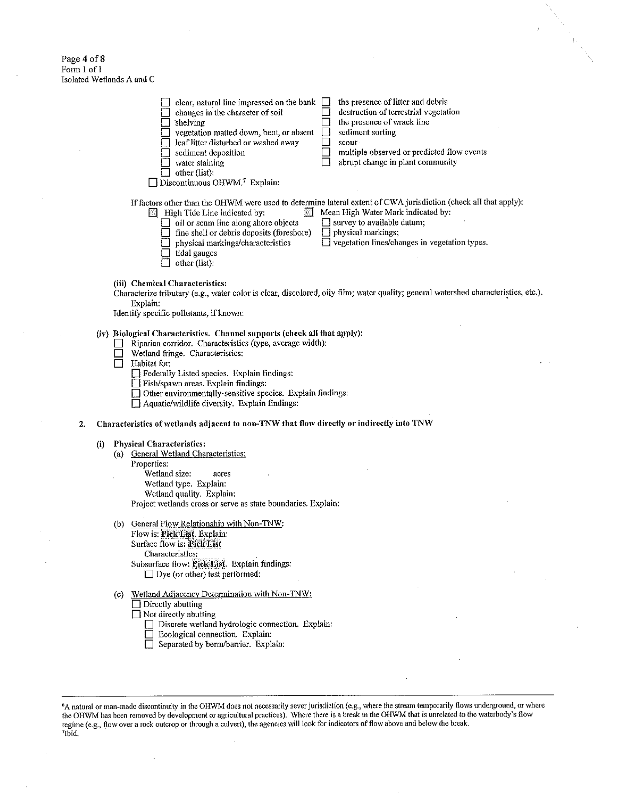Page 4 of 8 Form 1 of 1<br>Isolated Wetlands A and C

 $\mathbf{2}$ 

 $\bar{z}$ 

|     | the presence of litter and debris<br>clear, natural line impressed on the bank<br>$\mathsf{I}$<br>destruction of terrestrial vegetation<br>changes in the character of soil<br>the presence of wrack line<br>shelving<br>sediment sorting<br>yegetation matted down, bent, or absent<br>leaf litter disturbed or washed away<br>scour<br>multiple observed or predicted flow events<br>sediment deposition<br>abrupt change in plant community<br>water staining<br>other (list):<br>Discontinuous OHWM.7 Explain: |  |  |  |  |
|-----|--------------------------------------------------------------------------------------------------------------------------------------------------------------------------------------------------------------------------------------------------------------------------------------------------------------------------------------------------------------------------------------------------------------------------------------------------------------------------------------------------------------------|--|--|--|--|
|     | If factors other than the OHWM were used to determine lateral extent of CWA jurisdiction (check all that apply):<br>Mean High Water Mark indicated by:<br>High Tide Line indicated by:<br>$\Box$ oil or scum line along shore objects<br>$\Box$ survey to available datum;<br>fine shell or debris deposits (foreshore)<br>$\Box$ physical markings;<br>$\Box$ vegetation lines/changes in vegetation types.<br>physical markings/characteristics<br>tidal gauges<br>other (list):                                 |  |  |  |  |
|     | (iii) Chemical Characteristics:<br>Characterize tributary (e.g., water color is clear, discolored, oily film; water quality; general watershed characteristics, etc.).<br>Explain:<br>Identify specific pollutants, if known:                                                                                                                                                                                                                                                                                      |  |  |  |  |
|     | (iv) Biological Characteristics. Channel supports (check all that apply):<br>Riparian corridor. Characteristics (type, average width):<br>Wetland fringe. Characteristics:<br>Habitat for:<br>Federally Listed species. Explain findings:<br>Fish/spawn areas. Explain findings:<br>Other environmentally-sensitive species. Explain findings:<br>Aquatic/wildlife diversity. Explain findings:                                                                                                                    |  |  |  |  |
|     | Characteristics of wetlands adjacent to non-TNW that flow directly or indirectly into TNW                                                                                                                                                                                                                                                                                                                                                                                                                          |  |  |  |  |
| (i) | <b>Physical Characteristics:</b><br>(a) General Wetland Characteristics:<br>Properties:<br>Wetland size:<br>acres<br>Wetland type. Explain:<br>Wetland quality. Explain:<br>Project wetlands cross or serve as state boundaries. Explain:                                                                                                                                                                                                                                                                          |  |  |  |  |
|     | (b) General Flow Relationship with Non-TNW:<br>Flow is: Pick List. Explain:<br>Surface flow is: Pick List<br>Characteristics:<br>Subsurface flow: Pick List. Explain findings:<br>$\Box$ Dye (or other) test performed:                                                                                                                                                                                                                                                                                            |  |  |  |  |
|     | Wetland Adjacency Determination with Non-TNW:<br>(c)<br>$\Box$ Directly abutting<br>$\Box$ Not directly abutting<br>□ Discrete wetland hydrologic connection. Explain:<br>Ecological connection. Explain:<br>$\Box$ Senarated by herm/barrier. Explain:                                                                                                                                                                                                                                                            |  |  |  |  |

 $\hat{\vec{r}}$ 

 $\frac{1}{4} \frac{1}{4 \pi}$ 

 ${}^6$ A natural or man-made discontinuity in the OHWM does not necessarily sever jurisdiction (e.g., where the stream temporarily flows underground, or where the OHWM has been removed by development or agricultural practic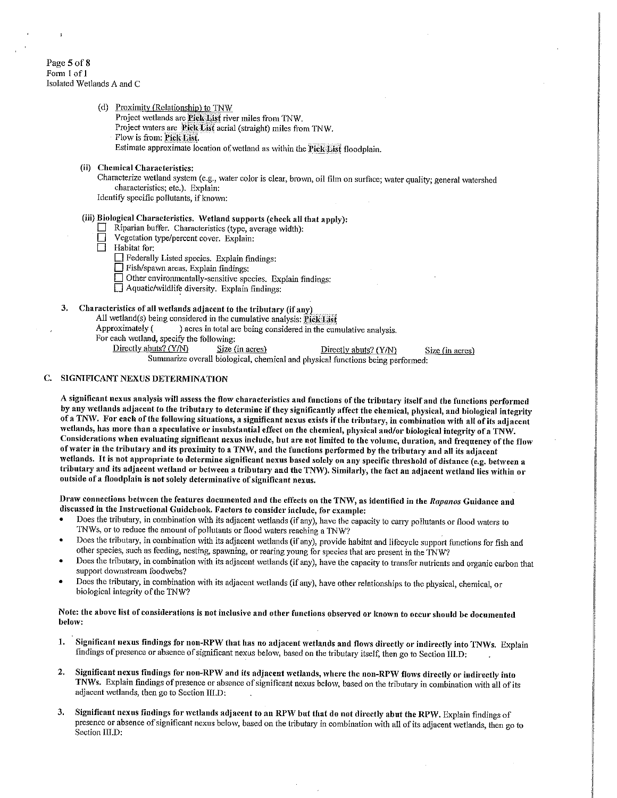# Page 5 of 8 Form 1 of 1 Isolated Wetlands A and C

- (d) Proximity (Relationship) to TNW
	- Project wetlands are Pick List river miles from TNW.
	- Project waters are Pick List aerial (straight) miles from TNW.
	- Flow is from: Pick List.
	- Estimate approximate location of wetland as within the Pick List floodplain.
- (ii) Chemical Characteristics:

Characterize wetland system (e.g., water color is clear, brown, oil film on surface; water quality; general watershed characteristics; etc.). Explain:

Identify specific pollutants, if known:

# (iii) Biological Characteristics. Wetland supports (check all that apply):

- Riparian buffer. Characteristics (type, average width):
- Vegetation type/percent cover. Explain:
- $\Box$  Habitat for:
	- Federally Listed species. Explain findings:
	- Fish/spawn areas. Explain findings:
	- Other environmentally-sensitive species. Explain findings:
	- Aquatic/wildlife diversity. Explain findings:

#### 3. Characteristics of all wetlands adjacent to the tributary (if any)

All wetland(s) being considered in the cumulative analysis: Pick List

- Approximately ( ) acres in total are being considered in the cumulative analysis.
- For each wetland, specify the following:
	- Directly abuts? (Y/N)  $Size (in acres)$ 
		- Directly abuts? (Y/N)

Summarize overall biological, chemical and physical functions being performed:

Size (in acres)

# C. SIGNIFICANT NEXUS DETERMINATION

A significant nexus analysis will assess the flow characteristics and functions of the tributary itself and the functions performed by any wetlands adjacent to the tributary to determine if they significantly affect the chemical, physical, and biological integrity of a TNW. For each of the following situations, a significant nexus exists if the tributary, in combination with all of its adjacent wetlands, has more than a speculative or insubstantial effect on the chemical, physical and/or biological integrity of a TNW. Considerations when evaluating significant nexus include, but are not limited to the volume, duration, and frequency of the flow of water in the tributary and its proximity to a TNW, and the functions performed by the tributary and all its adjacent wetlands. It is not appropriate to determine significant nexus based solely on any specific threshold of distance (e.g. between a tributary and its adjacent wetland or between a tributary and the TNW). Similarly, the fact an adjacent wetland lies within or outside of a floodplain is not solely determinative of significant nexus.

Draw connections between the features documented and the effects on the TNW, as identified in the Rapanos Guidance and discussed in the Instructional Guidebook. Factors to consider include, for example:

- Does the tributary, in combination with its adjacent wetlands (if any), have the capacity to carry pollutants or flood waters to TNWs, or to reduce the amount of pollutants or flood waters reaching a TNW?
- Does the tributary, in combination with its adjacent wetlands (if any), provide habitat and lifecycle support functions for fish and other species, such as feeding, nesting, spawning, or rearing young for species that are present in the TNW?
- Does the tributary, in combination with its adjacent wetlands (if any), have the capacity to transfer nutrients and organic carbon that support downstream foodwebs?
- Does the tributary, in combination with its adjacent wetlands (if any), have other relationships to the physical, chemical, or biological integrity of the TNW?

# Note: the above list of considerations is not inclusive and other functions observed or known to occur should be documented below:

- Significant nexus findings for non-RPW that has no adjacent wetlands and flows directly or indirectly into TNWs. Explain  $\mathbf{I}$ . findings of presence or absence of significant nexus below, based on the tributary itself, then go to Section III.D:
- Significant nexus findings for non-RPW and its adjacent wetlands, where the non-RPW flows directly or indirectly into  $\overline{2}$ . TNWs. Explain findings of presence or absence of significant nexus below, based on the tributary in combination with all of its adjacent wetlands, then go to Section III.D:
- Significant nexus findings for wetlands adjacent to an RPW but that do not directly abut the RPW. Explain findings of 3. presence or absence of significant nexus below, based on the tributary in combination with all of its adjacent wetlands, then go to Section III.D: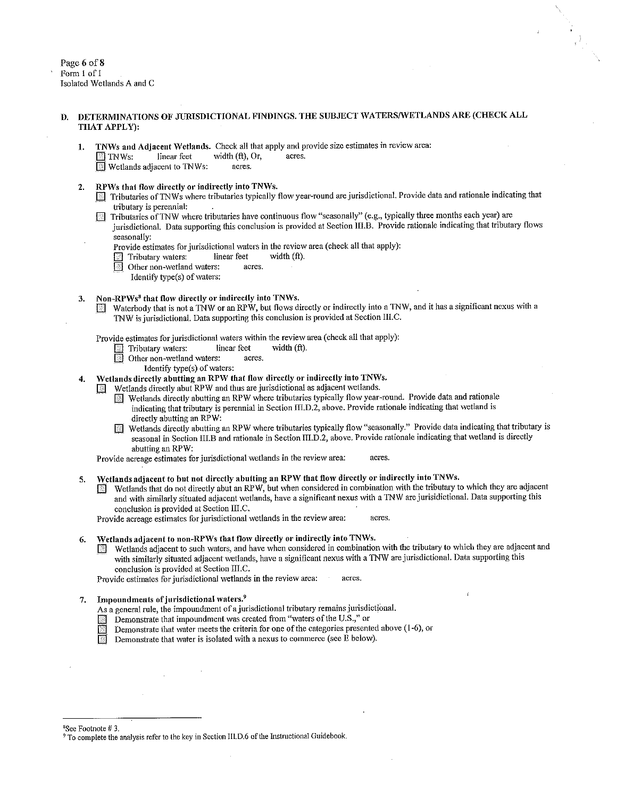Page 6 of 8 Form 1 of 1 Isolated Wetlands A and C

# DETERMINATIONS OF JURISDICTIONAL FINDINGS. THE SUBJECT WATERS/WETLANDS ARE (CHECK ALL THAT APPLY):

- TNWs and Adjacent Wetlands. Check all that apply and provide size estimates in review area: 1. width (ft), Or, linear feet acres.  $\Box$  TNWs:
	- Wetlands adjacent to TNWs: acres.
- RPWs that flow directly or indirectly into TNWs.  $2.$ 
	- Tributaries of TNWs where tributaries typically flow year-round are jurisdictional. Provide data and rationale indicating that tributary is perennial:
	- $\boxed{\phantom{1}}$  Tributaries of TNW where tributaries have continuous flow "seasonally" (e.g., typically three months each year) are jurisdictional. Data supporting this conclusion is provided at Section III.B. Provide rationale indicating that tributary flows seasonally:
		- Provide estimates for jurisdictional waters in the review area (check all that apply):
		- Tributary waters: linear feet width (ft).
		- **I** Other non-wetland waters: acres.
			- Identify type(s) of waters:

#### Non-RPWs<sup>8</sup> that flow directly or indirectly into TNWs. 3.

Waterbody that is not a TNW or an RPW, but flows directly or indirectly into a TNW, and it has a significant nexus with a R TNW is jurisdictional. Data supporting this conclusion is provided at Section III.C.

Provide estimates for jurisdictional waters within the review area (check all that apply):

- Tributary waters: li<br>
Other non-wetland waters: linear feet width  $(f<sub>t</sub>)$ .
	- acres.
		- Identify type(s) of waters:
- Wetlands directly abutting an RPW that flow directly or indirectly into TNWs.  $\overline{4}$ .
	- Wetlands directly abut RPW and thus are jurisdictional as adjacent wetlands.  $\frac{100}{100}$ 
		- Wetlands directly abutting an RPW where tributaries typically flow year-round. Provide data and rationale indicating that tributary is perennial in Section III.D.2, above. Provide rationale indicating that wetland is directly abutting an RPW:
		- Wetlands directly abutting an RPW where tributaries typically flow "seasonally." Provide data indicating that tributary is seasonal in Section III.B and rationale in Section III.D.2, above. Provide rationale indicating that wetland is directly abutting an RPW:

Provide acreage estimates for jurisdictional wetlands in the review area: acres.

- Wetlands adjacent to but not directly abutting an RPW that flow directly or indirectly into TNWs. 5.
	- Wetlands that do not directly abut an RPW, but when considered in combination with the tributary to which they are adjacent LL. and with similarly situated adjacent wetlands, have a significant nexus with a TNW are jurisidictional. Data supporting this conclusion is provided at Section III.C.

Provide acreage estimates for jurisdictional wetlands in the review area: acres.

#### Wetlands adjacent to non-RPWs that flow directly or indirectly into TNWs. 6.

Wetlands adjacent to such waters, and have when considered in combination with the tributary to which they are adjacent and with similarly situated adjacent wetlands, have a significant nexus with a TNW are jurisdictional. Data supporting this conclusion is provided at Section III.C.

Provide estimates for jurisdictional wetlands in the review area: acres.

#### Impoundments of jurisdictional waters.<sup>9</sup>  $7<sup>1</sup>$

- As a general rule, the impoundment of a jurisdictional tributary remains jurisdictional.
- Demonstrate that impoundment was created from "waters of the U.S.," or 圏
- Demonstrate that water meets the criteria for one of the categories presented above (1-6), or
- Demonstrate that water is isolated with a nexus to commerce (see E below).

<sup>8</sup>See Footnote #3.

<sup>&</sup>lt;sup>9</sup> To complete the analysis refer to the key in Section III.D.6 of the Instructional Guidebook.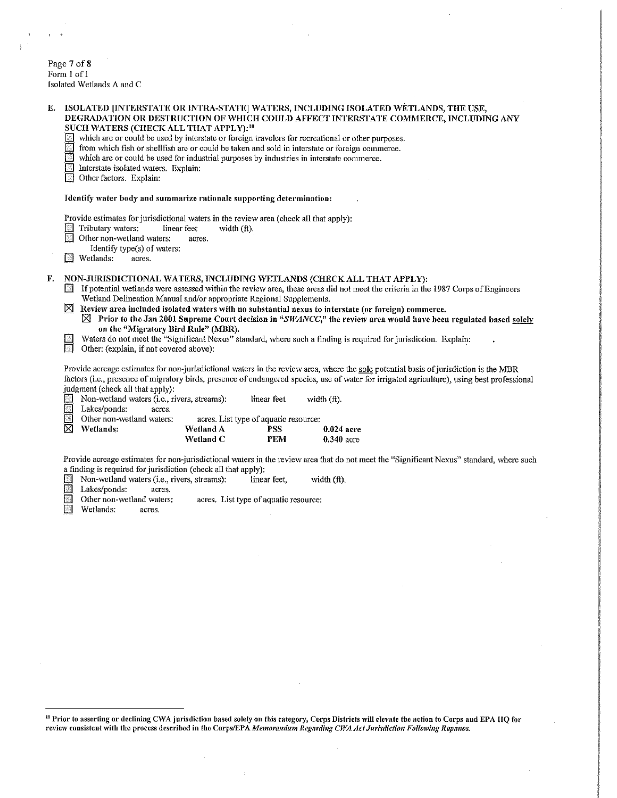Page 7 of 8<br>Form 1 of 1 Isolated Wetlands  $\Lambda$  and  $C$ 

| linear feet<br>width (ft).<br>acres.<br>Identify type(s) of waters:                                                                                                                                                                                                                                                                                                                                                                                                                                                                                                                                                                                                                                                                                                                                                                                                                           | Identify water body and summarize rationale supporting determination:<br>Provide estimates for jurisdictional waters in the review area (check all that apply): |                                                                |                                                                                                                                                                                                  |  |
|-----------------------------------------------------------------------------------------------------------------------------------------------------------------------------------------------------------------------------------------------------------------------------------------------------------------------------------------------------------------------------------------------------------------------------------------------------------------------------------------------------------------------------------------------------------------------------------------------------------------------------------------------------------------------------------------------------------------------------------------------------------------------------------------------------------------------------------------------------------------------------------------------|-----------------------------------------------------------------------------------------------------------------------------------------------------------------|----------------------------------------------------------------|--------------------------------------------------------------------------------------------------------------------------------------------------------------------------------------------------|--|
|                                                                                                                                                                                                                                                                                                                                                                                                                                                                                                                                                                                                                                                                                                                                                                                                                                                                                               |                                                                                                                                                                 |                                                                |                                                                                                                                                                                                  |  |
|                                                                                                                                                                                                                                                                                                                                                                                                                                                                                                                                                                                                                                                                                                                                                                                                                                                                                               |                                                                                                                                                                 |                                                                |                                                                                                                                                                                                  |  |
| NON-JURISDICTIONAL WATERS, INCLUDING WETLANDS (CHECK ALL THAT APPLY):<br>F.<br>If potential wetlands were assessed within the review area, these areas did not meet the criteria in the 1987 Corps of Engineers<br>Wetland Delineation Manual and/or appropriate Regional Supplements.<br>$\boxtimes$ Review area included isolated waters with no substantial nexus to interstate (or foreign) commerce.<br>$\boxtimes$ Prior to the Jan 2001 Supreme Court decision in "SWANCC," the review area would have been regulated based solely<br>on the "Migratory Bird Rule" (MBR).<br>Waters do not meet the "Significant Nexus" standard, where such a finding is required for jurisdiction. Explain:<br>F<br>Other: (explain, if not covered above):<br>Provide acreage estimates for non-jurisdictional waters in the review area, where the sole potential basis of jurisdiction is the MBR |                                                                                                                                                                 |                                                                |                                                                                                                                                                                                  |  |
|                                                                                                                                                                                                                                                                                                                                                                                                                                                                                                                                                                                                                                                                                                                                                                                                                                                                                               |                                                                                                                                                                 |                                                                | factors (i.e., presence of migratory birds, presence of endangered species, use of water for irrigated agriculture), using best professional                                                     |  |
| Non-wetland waters (i.e., rivers, streams):                                                                                                                                                                                                                                                                                                                                                                                                                                                                                                                                                                                                                                                                                                                                                                                                                                                   | linear feet                                                                                                                                                     | width (ft).                                                    |                                                                                                                                                                                                  |  |
|                                                                                                                                                                                                                                                                                                                                                                                                                                                                                                                                                                                                                                                                                                                                                                                                                                                                                               | acres. List type of aquatic resource:                                                                                                                           |                                                                |                                                                                                                                                                                                  |  |
| Wetland A                                                                                                                                                                                                                                                                                                                                                                                                                                                                                                                                                                                                                                                                                                                                                                                                                                                                                     | <b>PSS</b>                                                                                                                                                      | $0.024$ acre                                                   |                                                                                                                                                                                                  |  |
|                                                                                                                                                                                                                                                                                                                                                                                                                                                                                                                                                                                                                                                                                                                                                                                                                                                                                               | <b>PEM</b>                                                                                                                                                      | $0.340$ acre                                                   |                                                                                                                                                                                                  |  |
| Wetland C                                                                                                                                                                                                                                                                                                                                                                                                                                                                                                                                                                                                                                                                                                                                                                                                                                                                                     | linear feet,                                                                                                                                                    |                                                                |                                                                                                                                                                                                  |  |
|                                                                                                                                                                                                                                                                                                                                                                                                                                                                                                                                                                                                                                                                                                                                                                                                                                                                                               | Non-wetland waters (i.e., rivers, streams):                                                                                                                     | a finding is required for jurisdiction (check all that apply): | Provide acreage estimates for non-jurisdictional waters in the review area that do not meet the "Significant Nexus" standard, where such<br>width (ft).<br>acres. List type of aquatic resource: |  |

<sup>&</sup>lt;sup>10</sup> Prior to asserting or declining CWA jurisdiction based solely on this category, Corps Districts will clevate the action to Corps and EPA HQ for<br>review consistent with the process described in the Corps/EPA *Memorandum*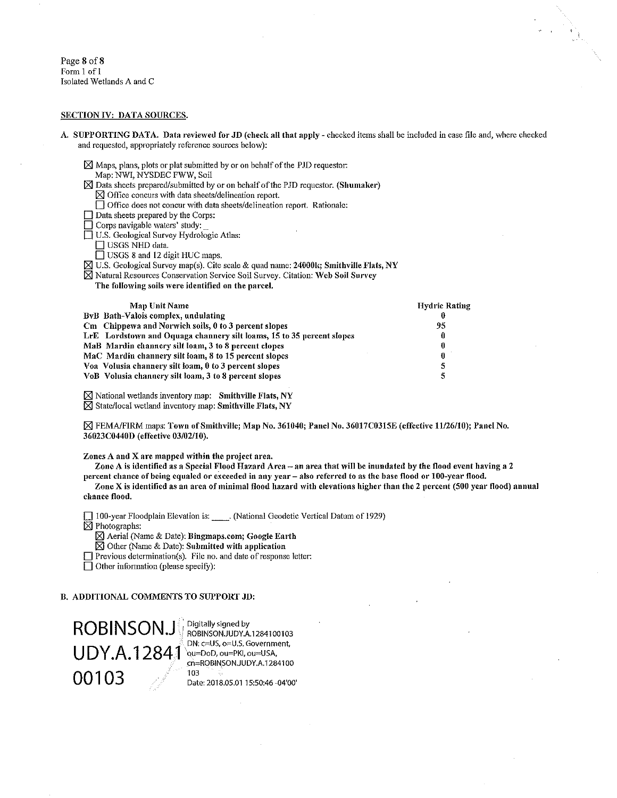Page 8 of 8 Form 1 of 1 Isolated Wetlands A and C

### SECTION IV: DATA SOURCES.

- A. SUPPORTING DATA. Data reviewed for JD (check all that apply checked items shall be included in case file and, where checked and requested, appropriately reference sources below):
	- $\boxtimes$  Maps, plans, plots or plat submitted by or on behalf of the PJD requestor:
	- Map: NWI, NYSDEC FWW, Soil
	- $\boxtimes$  Data sheets prepared/submitted by or on behalf of the PJD requestor. (Shumaker)  $\boxtimes$  Office concurs with data sheets/delineation report.
		- □ Office does not concur with data sheets/delineation report. Rationale:
	- $\Box$  Data sheets prepared by the Corps:
	- Corps navigable waters' study:
	- U.S. Geological Survey Hydrologic Atlas:
		-
		- □ USGS NHD data.<br>□ USGS 8 and 12 digit HUC maps.
	- ⊠ U.S. Geological Survey map(s). Cite scale & quad name: 24000k; Smithville Flats, NY
	- ⊠ Natural Resources Conservation Service Soil Survey. Citation: Web Soil Survey
		- The following soils were identified on the parcel.

| <b>Map Unit Name</b>                                                  | <b>Hydric Rating</b> |
|-----------------------------------------------------------------------|----------------------|
| ByB Bath-Valois complex, undulating                                   | 0                    |
| Cm Chippewa and Norwich soils, 0 to 3 percent slopes                  | 95                   |
| LrE Lordstown and Oquaga channery silt loams, 15 to 35 percent slopes | 0                    |
| MaB Mardin channery silt loam, 3 to 8 percent clopes                  | 0                    |
| MaC Mardin channery silt loam, 8 to 15 percent slopes                 | 0                    |
| Voa Volusia channery silt loam, 0 to 3 percent slopes                 | 5                    |
| VoB Volusia channery silt loam, 3 to 8 percent slopes                 | 5                    |
|                                                                       |                      |

 $\boxtimes$  National wetlands inventory map: Smithville Flats, NY ⊠ State/local wetland inventory map: Smithville Flats, NY

⊠ FEMA/FIRM maps: Town of Smithville; Map No. 361040; Panel No. 36017C0315E (effective 11/26/10); Panel No. 36023C0440D (effective 03/02/10).

Zones A and X are mapped within the project area.

Zone A is identified as a Special Flood Hazard Area - an area that will be inundated by the flood event having a 2 percent chance of being equaled or exceeded in any year - also referred to as the base flood or 100-year flood.

Zone X is identified as an area of minimal flood hazard with elevations higher than the 2 percent (500 year flood) annual chance flood.

[100-year Floodplain Elevation is: \_\_\_\_\_\_. (National Geodetic Vertical Datum of 1929)

- $\overline{\boxtimes}$  Photographs:
	- Aerial (Name & Date): Bingmaps.com; Google Earth
	- $\boxtimes$  Other (Name & Date): Submitted with application
- $\Box$  Previous determination(s). File no. and date of response letter:

□ Other information (please specify):

### **B. ADDITIONAL COMMENTS TO SUPPORT JD:**

**ROBINSON.JW UDY.A.12841** 00103

Digitally signed by ROBINSON.JUDY.A.1284100103 DN: c=US, o=U.S. Government, ou=DoD, ou=PKI, ou=USA, cn=ROBINSON.JUDY A.1284100 103 Date: 2018.05.01 15:50:46 -04'00'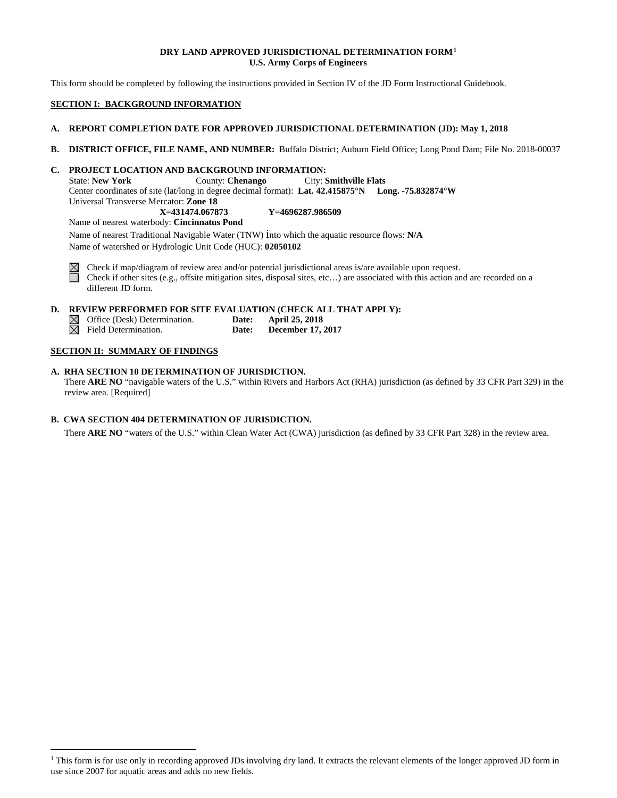# **DRY LAND APPROVED JURISDICTIONAL DETERMINATION FORM[1](#page-8-0) U.S. Army Corps of Engineers**

This form should be completed by following the instructions provided in Section IV of the JD Form Instructional Guidebook.

# **SECTION I: BACKGROUND INFORMATION**

# **A. REPORT COMPLETION DATE FOR APPROVED JURISDICTIONAL DETERMINATION (JD): May 1, 2018**

**B. DISTRICT OFFICE, FILE NAME, AND NUMBER:** Buffalo District; Auburn Field Office; Long Pond Dam; File No. 2018-00037

# **C. PROJECT LOCATION AND BACKGROUND INFORMATION:**

State: **New York** County: **Chenango** City: **Smithville Flats** Center coordinates of site (lat/long in degree decimal format): **Lat. 42.415875°N Long. -75.832874°W** Universal Transverse Mercator: **Zone 18 X=431474.067873 Y=4696287.986509**

Name of nearest waterbody: **Cincinnatus Pond**

Name of nearest Traditional Navigable Water (TNW) into which the aquatic resource flows: **N/A** Name of watershed or Hydrologic Unit Code (HUC): **02050102**



Check if map/diagram of review area and/or potential jurisdictional areas is/are available upon request. Check if other sites (e.g., offsite mitigation sites, disposal sites, etc…) are associated with this action and are recorded on a different JD form.

# **D. REVIEW PERFORMED FOR SITE EVALUATION (CHECK ALL THAT APPLY):**

| $\boxtimes$ Office (Desk) Determination. | <b>Date:</b> | April 25, 2018           |
|------------------------------------------|--------------|--------------------------|
| $\boxtimes$ Field Determination.         | Date:        | <b>December 17, 2017</b> |

# **SECTION II: SUMMARY OF FINDINGS**

**A. RHA SECTION 10 DETERMINATION OF JURISDICTION.** There **ARE NO** "navigable waters of the U.S." within Rivers and Harbors Act (RHA) jurisdiction (as defined by 33 CFR Part 329) in the review area. [Required]

# **B. CWA SECTION 404 DETERMINATION OF JURISDICTION.**

There **ARE NO** "waters of the U.S." within Clean Water Act (CWA) jurisdiction (as defined by 33 CFR Part 328) in the review area.

<span id="page-8-0"></span><sup>&</sup>lt;sup>1</sup> This form is for use only in recording approved JDs involving dry land. It extracts the relevant elements of the longer approved JD form in use since 2007 for aquatic areas and adds no new fields.